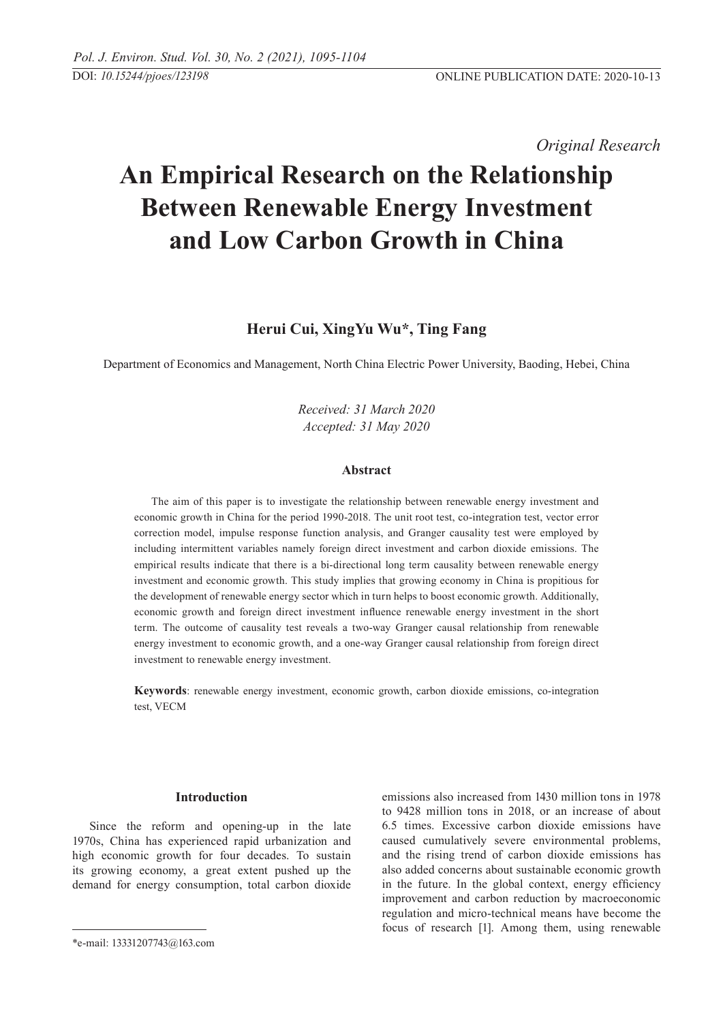*Original Research* 

# **An Empirical Research on the Relationship Between Renewable Energy Investment and Low Carbon Growth in China**

# **Herui Cui, XingYu Wu\*, Ting Fang**

Department of Economics and Management, North China Electric Power University, Baoding, Hebei, China

*Received: 31 March 2020 Accepted: 31 May 2020*

# **Abstract**

The aim of this paper is to investigate the relationship between renewable energy investment and economic growth in China for the period 1990-2018. The unit root test, co-integration test, vector error correction model, impulse response function analysis, and Granger causality test were employed by including intermittent variables namely foreign direct investment and carbon dioxide emissions. The empirical results indicate that there is a bi-directional long term causality between renewable energy investment and economic growth. This study implies that growing economy in China is propitious for the development of renewable energy sector which in turn helps to boost economic growth. Additionally, economic growth and foreign direct investment influence renewable energy investment in the short term. The outcome of causality test reveals a two-way Granger causal relationship from renewable energy investment to economic growth, and a one-way Granger causal relationship from foreign direct investment to renewable energy investment.

**Keywords**: renewable energy investment, economic growth, carbon dioxide emissions, co-integration test, VECM

#### **Introduction**

Since the reform and opening-up in the late 1970s, China has experienced rapid urbanization and high economic growth for four decades. To sustain its growing economy, a great extent pushed up the demand for energy consumption, total carbon dioxide emissions also increased from 1430 million tons in 1978 to 9428 million tons in 2018, or an increase of about 6.5 times. Excessive carbon dioxide emissions have caused cumulatively severe environmental problems, and the rising trend of carbon dioxide emissions has also added concerns about sustainable economic growth in the future. In the global context, energy efficiency improvement and carbon reduction by macroeconomic regulation and micro-technical means have become the focus of research [1]. Among them, using renewable

<sup>\*</sup>e-mail: 13331207743@163.com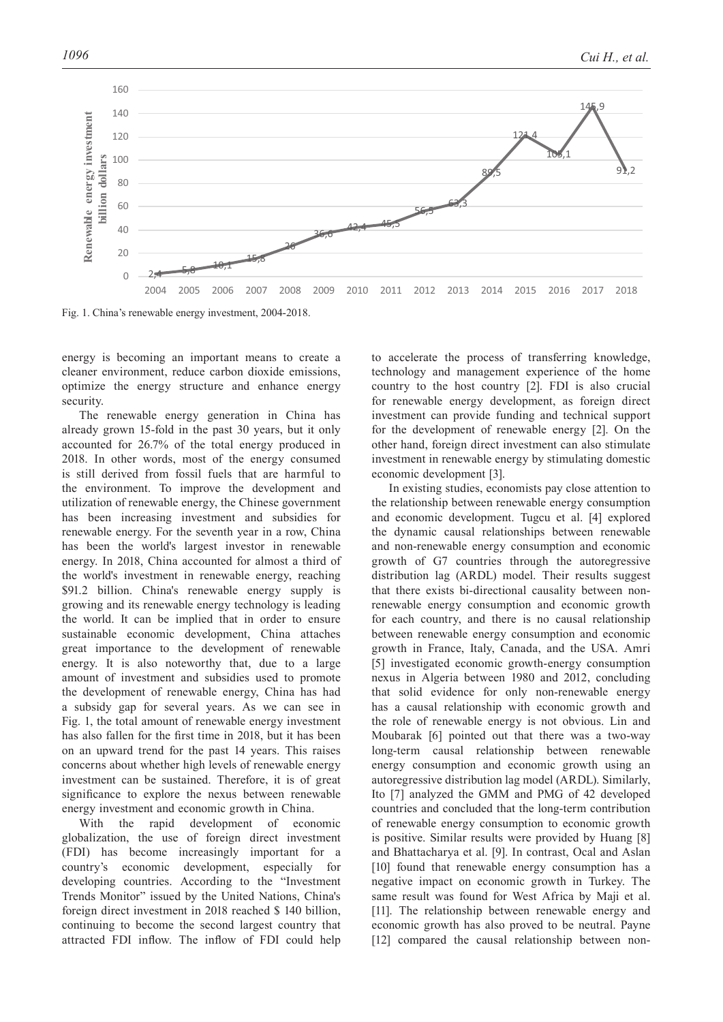

Fig. 1. China's renewable energy investment, 2004-2018.

energy is becoming an important means to create a cleaner environment, reduce carbon dioxide emissions, optimize the energy structure and enhance energy security.

The renewable energy generation in China has already grown 15-fold in the past 30 years, but it only accounted for 26.7% of the total energy produced in 2018. In other words, most of the energy consumed is still derived from fossil fuels that are harmful to the environment. To improve the development and utilization of renewable energy, the Chinese government has been increasing investment and subsidies for renewable energy. For the seventh year in a row, China has been the world's largest investor in renewable energy. In 2018, China accounted for almost a third of the world's investment in renewable energy, reaching \$91.2 billion. China's renewable energy supply is growing and its renewable energy technology is leading the world. It can be implied that in order to ensure sustainable economic development, China attaches great importance to the development of renewable energy. It is also noteworthy that, due to a large amount of investment and subsidies used to promote the development of renewable energy, China has had a subsidy gap for several years. As we can see in Fig. 1, the total amount of renewable energy investment has also fallen for the first time in 2018, but it has been on an upward trend for the past 14 years. This raises concerns about whether high levels of renewable energy investment can be sustained. Therefore, it is of great significance to explore the nexus between renewable energy investment and economic growth in China.

With the rapid development of economic globalization, the use of foreign direct investment (FDI) has become increasingly important for a country's economic development, especially for developing countries. According to the "Investment Trends Monitor" issued by the United Nations, China's foreign direct investment in 2018 reached \$ 140 billion, continuing to become the second largest country that attracted FDI inflow. The inflow of FDI could help

to accelerate the process of transferring knowledge, technology and management experience of the home country to the host country [2]. FDI is also crucial for renewable energy development, as foreign direct investment can provide funding and technical support for the development of renewable energy [2]. On the other hand, foreign direct investment can also stimulate investment in renewable energy by stimulating domestic economic development [3].

In existing studies, economists pay close attention to the relationship between renewable energy consumption and economic development. Tugcu et al. [4] explored the dynamic causal relationships between renewable and non-renewable energy consumption and economic growth of G7 countries through the autoregressive distribution lag (ARDL) model. Their results suggest that there exists bi-directional causality between nonrenewable energy consumption and economic growth for each country, and there is no causal relationship between renewable energy consumption and economic growth in France, Italy, Canada, and the USA. Amri [5] investigated economic growth-energy consumption nexus in Algeria between 1980 and 2012, concluding that solid evidence for only non-renewable energy has a causal relationship with economic growth and the role of renewable energy is not obvious. Lin and Moubarak [6] pointed out that there was a two-way long-term causal relationship between renewable energy consumption and economic growth using an autoregressive distribution lag model (ARDL). Similarly, Ito [7] analyzed the GMM and PMG of 42 developed countries and concluded that the long-term contribution of renewable energy consumption to economic growth is positive. Similar results were provided by Huang [8] and Bhattacharya et al. [9]. In contrast, Ocal and Aslan [10] found that renewable energy consumption has a negative impact on economic growth in Turkey. The same result was found for West Africa by Maji et al. [11]. The relationship between renewable energy and economic growth has also proved to be neutral. Payne [12] compared the causal relationship between non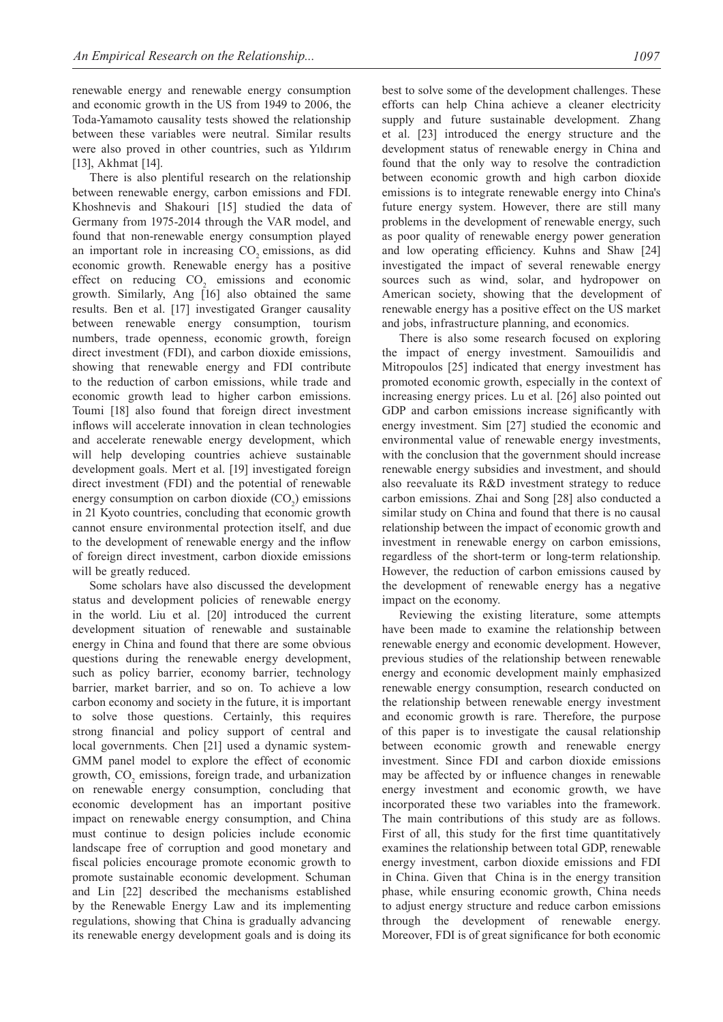renewable energy and renewable energy consumption and economic growth in the US from 1949 to 2006, the Toda-Yamamoto causality tests showed the relationship between these variables were neutral. Similar results were also proved in other countries, such as Yıldırım [13], Akhmat [14].

There is also plentiful research on the relationship between renewable energy, carbon emissions and FDI. Khoshnevis and Shakouri [15] studied the data of Germany from 1975-2014 through the VAR model, and found that non-renewable energy consumption played an important role in increasing  $CO<sub>2</sub>$  emissions, as did economic growth. Renewable energy has a positive effect on reducing  $CO<sub>2</sub>$  emissions and economic growth. Similarly, Ang [16] also obtained the same results. Ben et al. [17] investigated Granger causality between renewable energy consumption, tourism numbers, trade openness, economic growth, foreign direct investment (FDI), and carbon dioxide emissions, showing that renewable energy and FDI contribute to the reduction of carbon emissions, while trade and economic growth lead to higher carbon emissions. Toumi [18] also found that foreign direct investment inflows will accelerate innovation in clean technologies and accelerate renewable energy development, which will help developing countries achieve sustainable development goals. Mert et al. [19] investigated foreign direct investment (FDI) and the potential of renewable energy consumption on carbon dioxide  $(CO_2)$  emissions in 21 Kyoto countries, concluding that economic growth cannot ensure environmental protection itself, and due to the development of renewable energy and the inflow of foreign direct investment, carbon dioxide emissions will be greatly reduced.

Some scholars have also discussed the development status and development policies of renewable energy in the world. Liu et al. [20] introduced the current development situation of renewable and sustainable energy in China and found that there are some obvious questions during the renewable energy development, such as policy barrier, economy barrier, technology barrier, market barrier, and so on. To achieve a low carbon economy and society in the future, it is important to solve those questions. Certainly, this requires strong financial and policy support of central and local governments. Chen [21] used a dynamic system-GMM panel model to explore the effect of economic growth,  $CO<sub>2</sub>$  emissions, foreign trade, and urbanization on renewable energy consumption, concluding that economic development has an important positive impact on renewable energy consumption, and China must continue to design policies include economic landscape free of corruption and good monetary and fiscal policies encourage promote economic growth to promote sustainable economic development. Schuman and Lin [22] described the mechanisms established by the Renewable Energy Law and its implementing regulations, showing that China is gradually advancing its renewable energy development goals and is doing its

best to solve some of the development challenges. These efforts can help China achieve a cleaner electricity supply and future sustainable development. Zhang et al. [23] introduced the energy structure and the development status of renewable energy in China and found that the only way to resolve the contradiction between economic growth and high carbon dioxide emissions is to integrate renewable energy into China's future energy system. However, there are still many problems in the development of renewable energy, such as poor quality of renewable energy power generation and low operating efficiency. Kuhns and Shaw [24] investigated the impact of several renewable energy sources such as wind, solar, and hydropower on American society, showing that the development of renewable energy has a positive effect on the US market

and jobs, infrastructure planning, and economics. There is also some research focused on exploring the impact of energy investment. Samouilidis and Mitropoulos [25] indicated that energy investment has promoted economic growth, especially in the context of increasing energy prices. Lu et al. [26] also pointed out GDP and carbon emissions increase significantly with energy investment. Sim [27] studied the economic and environmental value of renewable energy investments, with the conclusion that the government should increase renewable energy subsidies and investment, and should also reevaluate its R&D investment strategy to reduce carbon emissions. Zhai and Song [28] also conducted a similar study on China and found that there is no causal relationship between the impact of economic growth and investment in renewable energy on carbon emissions, regardless of the short-term or long-term relationship. However, the reduction of carbon emissions caused by the development of renewable energy has a negative impact on the economy.

Reviewing the existing literature, some attempts have been made to examine the relationship between renewable energy and economic development. However, previous studies of the relationship between renewable energy and economic development mainly emphasized renewable energy consumption, research conducted on the relationship between renewable energy investment and economic growth is rare. Therefore, the purpose of this paper is to investigate the causal relationship between economic growth and renewable energy investment. Since FDI and carbon dioxide emissions may be affected by or influence changes in renewable energy investment and economic growth, we have incorporated these two variables into the framework. The main contributions of this study are as follows. First of all, this study for the first time quantitatively examines the relationship between total GDP, renewable energy investment, carbon dioxide emissions and FDI in China. Given that China is in the energy transition phase, while ensuring economic growth, China needs to adjust energy structure and reduce carbon emissions through the development of renewable energy. Moreover, FDI is of great significance for both economic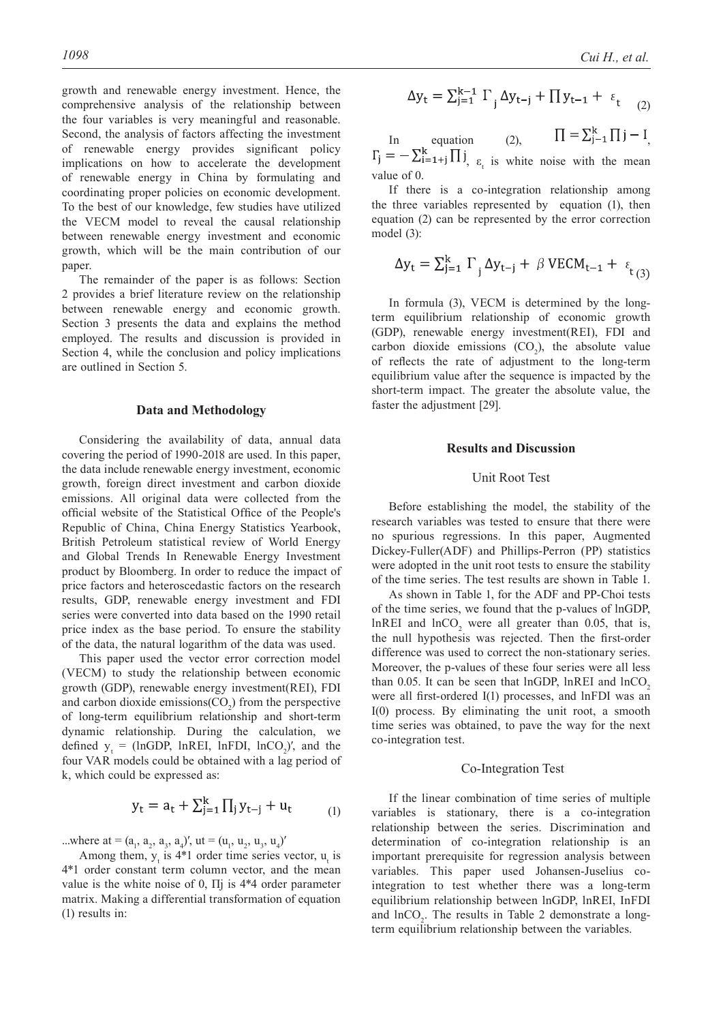growth and renewable energy investment. Hence, the comprehensive analysis of the relationship between the four variables is very meaningful and reasonable. Second, the analysis of factors affecting the investment of renewable energy provides significant policy implications on how to accelerate the development of renewable energy in China by formulating and coordinating proper policies on economic development. To the best of our knowledge, few studies have utilized the VECM model to reveal the causal relationship between renewable energy investment and economic growth, which will be the main contribution of our paper.

The remainder of the paper is as follows: Section 2 provides a brief literature review on the relationship between renewable energy and economic growth. Section 3 presents the data and explains the method employed. The results and discussion is provided in Section 4, while the conclusion and policy implications are outlined in Section 5.

#### **Data and Methodology**

Considering the availability of data, annual data covering the period of 1990-2018 are used. In this paper, the data include renewable energy investment, economic growth, foreign direct investment and carbon dioxide emissions. All original data were collected from the official website of the Statistical Office of the People's Republic of China, China Energy Statistics Yearbook, British Petroleum statistical review of World Energy and Global Trends In Renewable Energy Investment product by Bloomberg. In order to reduce the impact of price factors and heteroscedastic factors on the research results, GDP, renewable energy investment and FDI series were converted into data based on the 1990 retail price index as the base period. To ensure the stability of the data, the natural logarithm of the data was used.

This paper used the vector error correction model (VECM) to study the relationship between economic growth (GDP), renewable energy investment(REI), FDI and carbon dioxide emissions  $(CO_2)$  from the perspective of long-term equilibrium relationship and short-term dynamic relationship. During the calculation, we defined  $y_t = (lnGDP, lnREL, lnFDI, lnCO_2)'$ , and the four VAR models could be obtained with a lag period of k, which could be expressed as:

$$
y_{t} = a_{t} + \sum_{j=1}^{K} \prod_{j} y_{t-j} + u_{t}
$$
 (1)

...where at =  $(a_1, a_2, a_3, a_4)$ ', ut =  $(u_1, u_2, u_3, u_4)$ '

Among them,  $y_t$  is 4\*1 order time series vector,  $u_t$  is 4\*1 order constant term column vector, and the mean value is the white noise of 0, Πj is 4\*4 order parameter matrix. Making a differential transformation of equation (1) results in:

$$
1098 \t\text{Cui } H, \text{ et al.}
$$

$$
\Delta y_{t} = \sum_{j=1}^{k-1} \Gamma_{j} \Delta y_{t-j} + \prod y_{t-1} + \varepsilon_{t} \quad (2)
$$

In equation (2),  $\Pi = \sum_{j=1}^{n} \prod_{j=1}^{n}$ ,  $\varepsilon_t$  is white noise with the mean value of 0.

If there is a co-integration relationship among the three variables represented by equation (1), then equation (2) can be represented by the error correction model (3):

$$
\Delta y_{t} = \sum_{j=1}^{k} \Gamma_{j} \Delta y_{t-j} + \beta \text{ VECM}_{t-1} + \varepsilon_{t(3)}
$$

In formula (3), VECM is determined by the longterm equilibrium relationship of economic growth (GDP), renewable energy investment(REI), FDI and carbon dioxide emissions  $(CO_2)$ , the absolute value of reflects the rate of adjustment to the long-term equilibrium value after the sequence is impacted by the short-term impact. The greater the absolute value, the faster the adjustment [29].

### **Results and Discussion**

# Unit Root Test

Before establishing the model, the stability of the research variables was tested to ensure that there were no spurious regressions. In this paper, Augmented Dickey-Fuller(ADF) and Phillips-Perron (PP) statistics were adopted in the unit root tests to ensure the stability of the time series. The test results are shown in Table 1.

As shown in Table 1, for the ADF and PP-Choi tests of the time series, we found that the p-values of lnGDP,  $lnREI$  and  $lnCO<sub>2</sub>$  were all greater than 0.05, that is, the null hypothesis was rejected. Then the first-order difference was used to correct the non-stationary series. Moreover, the p-values of these four series were all less than 0.05. It can be seen that lnGDP, lnREI and lnCO<sub>2</sub> were all first-ordered I(1) processes, and lnFDI was an I(0) process. By eliminating the unit root, a smooth time series was obtained, to pave the way for the next co-integration test.

#### Co-Integration Test

If the linear combination of time series of multiple variables is stationary, there is a co-integration relationship between the series. Discrimination and determination of co-integration relationship is an important prerequisite for regression analysis between variables. This paper used Johansen-Juselius cointegration to test whether there was a long-term equilibrium relationship between lnGDP, lnREI, InFDI and  $ln CO<sub>2</sub>$ . The results in Table 2 demonstrate a longterm equilibrium relationship between the variables.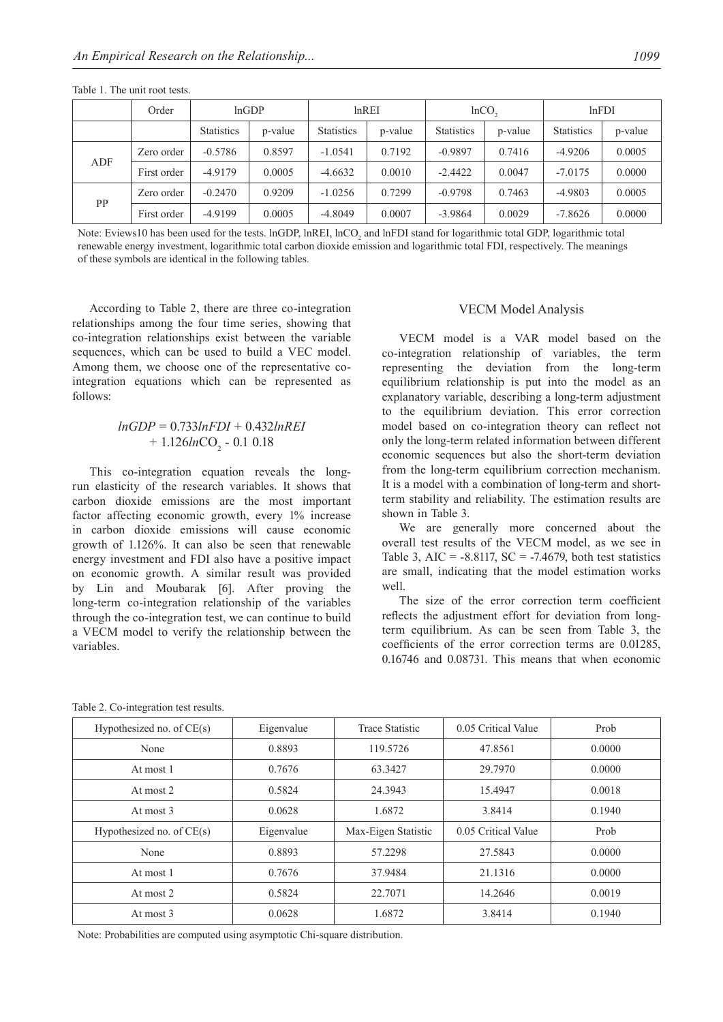|           | Order       | lnGDP<br>InREI    |         | $lnCO$ ,          |         | lnFDI             |         |                   |         |
|-----------|-------------|-------------------|---------|-------------------|---------|-------------------|---------|-------------------|---------|
|           |             | <b>Statistics</b> | p-value | <b>Statistics</b> | p-value | <b>Statistics</b> | p-value | <b>Statistics</b> | p-value |
| ADF       | Zero order  | $-0.5786$         | 0.8597  | $-1.0541$         | 0.7192  | $-0.9897$         | 0.7416  | $-4.9206$         | 0.0005  |
|           | First order | $-4.9179$         | 0.0005  | $-4.6632$         | 0.0010  | $-2.4422$         | 0.0047  | $-7.0175$         | 0.0000  |
| <b>PP</b> | Zero order  | $-0.2470$         | 0.9209  | $-1.0256$         | 0.7299  | $-0.9798$         | 0.7463  | $-4.9803$         | 0.0005  |
|           | First order | $-4.9199$         | 0.0005  | $-4.8049$         | 0.0007  | $-3.9864$         | 0.0029  | $-7.8626$         | 0.0000  |

Table 1. The unit root tests.

Note: Eviews10 has been used for the tests.  $lnGDP$ ,  $lnREL$ ,  $lnCO<sub>2</sub>$  and  $lnFDI$  stand for logarithmic total GDP, logarithmic total renewable energy investment, logarithmic total carbon dioxide emission and logarithmic total FDI, respectively. The meanings of these symbols are identical in the following tables.

According to Table 2, there are three co-integration relationships among the four time series, showing that co-integration relationships exist between the variable sequences, which can be used to build a VEC model. Among them, we choose one of the representative cointegration equations which can be represented as follows:

# *lnGDP* = 0.733*lnFDI* + 0.432*lnREI* + 1.126*ln*CO<sub>2</sub> - 0.1 0.18

This co-integration equation reveals the longrun elasticity of the research variables. It shows that carbon dioxide emissions are the most important factor affecting economic growth, every 1% increase in carbon dioxide emissions will cause economic growth of 1.126%. It can also be seen that renewable energy investment and FDI also have a positive impact on economic growth. A similar result was provided by Lin and Moubarak [6]. After proving the long-term co-integration relationship of the variables through the co-integration test, we can continue to build a VECM model to verify the relationship between the variables.

## VECM Model Analysis

VECM model is a VAR model based on the co-integration relationship of variables, the term representing the deviation from the long-term equilibrium relationship is put into the model as an explanatory variable, describing a long-term adjustment to the equilibrium deviation. This error correction model based on co-integration theory can reflect not only the long-term related information between different economic sequences but also the short-term deviation from the long-term equilibrium correction mechanism. It is a model with a combination of long-term and shortterm stability and reliability. The estimation results are shown in Table 3.

We are generally more concerned about the overall test results of the VECM model, as we see in Table 3, AIC =  $-8.8117$ , SC =  $-7.4679$ , both test statistics are small, indicating that the model estimation works well.

The size of the error correction term coefficient reflects the adjustment effort for deviation from longterm equilibrium. As can be seen from Table 3, the coefficients of the error correction terms are 0.01285, 0.16746 and 0.08731. This means that when economic

| Hypothesized no. of CE(s)   | Eigenvalue | <b>Trace Statistic</b> | 0.05 Critical Value | Prob   |  |
|-----------------------------|------------|------------------------|---------------------|--------|--|
| None                        | 0.8893     | 119.5726               | 47.8561             | 0.0000 |  |
| At most 1                   | 0.7676     | 63.3427                | 29.7970             | 0.0000 |  |
| At most 2                   | 0.5824     | 24.3943                | 15.4947             | 0.0018 |  |
| At most 3                   | 0.0628     | 1.6872                 | 3.8414              | 0.1940 |  |
| Hypothesized no. of $CE(s)$ | Eigenvalue | Max-Eigen Statistic    | 0.05 Critical Value | Prob   |  |
| None                        | 0.8893     | 57.2298                | 27.5843             | 0.0000 |  |
| At most 1                   | 0.7676     | 37.9484                | 21.1316             | 0.0000 |  |
| At most 2                   | 0.5824     | 22.7071                | 14.2646             | 0.0019 |  |
| At most 3                   | 0.0628     | 1.6872                 | 3.8414              | 0.1940 |  |

Table 2. Co-integration test results.

Note: Probabilities are computed using asymptotic Chi-square distribution.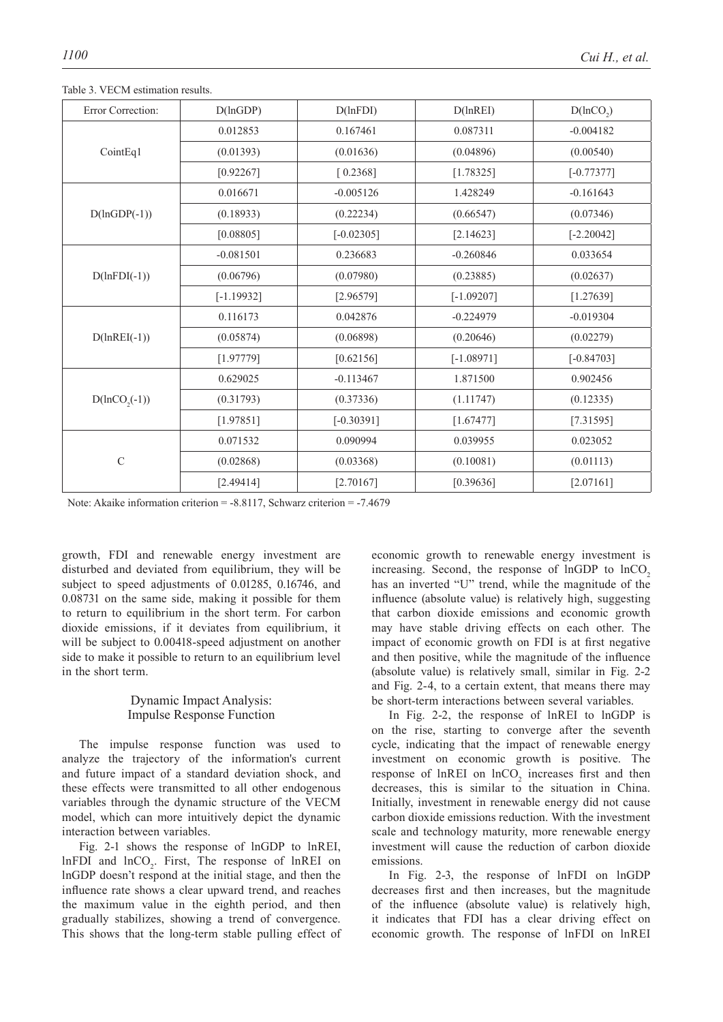| Error Correction:     | D(lnGDP)     | D(lnFDI)                              | D(lnREI)     | $D($ lnCO <sub>2</sub> $)$ |  |
|-----------------------|--------------|---------------------------------------|--------------|----------------------------|--|
|                       | 0.012853     | 0.167461<br>0.087311                  |              | $-0.004182$                |  |
| CointEq1              | (0.01393)    | (0.01636)                             | (0.04896)    | (0.00540)                  |  |
|                       | [0.92267]    | [0.2368]                              | [1.78325]    | $[-0.77377]$               |  |
|                       | 0.016671     | $-0.005126$<br>1.428249               |              | $-0.161643$                |  |
| $D(lnGDP(-1))$        | (0.18933)    | (0.22234)                             | (0.66547)    | (0.07346)                  |  |
|                       | [0.08805]    | $[-0.02305]$<br>0.236683<br>(0.07980) | [2.14623]    | $[-2.20042]$               |  |
|                       | $-0.081501$  |                                       | $-0.260846$  | 0.033654                   |  |
| $D(lnFDI(-1))$        | (0.06796)    | (0.23885)                             |              | (0.02637)                  |  |
|                       | $[-1.19932]$ | [2.96579]                             | $[-1.09207]$ | [1.27639]                  |  |
|                       | 0.116173     | 0.042876                              | $-0.224979$  | $-0.019304$                |  |
| $D(\text{lnREI}(-1))$ | (0.05874)    | (0.06898)                             | (0.20646)    | (0.02279)                  |  |
|                       | [1.97779]    | [0.62156]                             | $[-1.08971]$ | $[-0.84703]$               |  |
|                       | 0.629025     | $-0.113467$                           | 1.871500     | 0.902456                   |  |
| $D(hCO2(-1))$         | (0.31793)    | (0.37336)                             | (1.11747)    | (0.12335)                  |  |
|                       | [1.97851]    | $[-0.30391]$                          | [1.67477]    | [7.31595]                  |  |
|                       | 0.071532     | 0.090994                              | 0.039955     | 0.023052                   |  |
| $\mathbf C$           | (0.02868)    | (0.03368)                             | (0.10081)    | (0.01113)                  |  |
|                       | [2.49414]    | [2.70167]                             | [0.39636]    | [2.07161]                  |  |

Table 3. VECM estimation results.

Note: Akaike information criterion = -8.8117, Schwarz criterion = -7.4679

growth, FDI and renewable energy investment are disturbed and deviated from equilibrium, they will be subject to speed adjustments of 0.01285, 0.16746, and 0.08731 on the same side, making it possible for them to return to equilibrium in the short term. For carbon dioxide emissions, if it deviates from equilibrium, it will be subject to 0.00418-speed adjustment on another side to make it possible to return to an equilibrium level in the short term.

# Dynamic Impact Analysis: Impulse Response Function

The impulse response function was used to analyze the trajectory of the information's current and future impact of a standard deviation shock, and these effects were transmitted to all other endogenous variables through the dynamic structure of the VECM model, which can more intuitively depict the dynamic interaction between variables.

Fig. 2-1 shows the response of lnGDP to lnREI,  $lnFDI$  and  $lnCO<sub>2</sub>$ . First, The response of  $lnREI$  on lnGDP doesn't respond at the initial stage, and then the influence rate shows a clear upward trend, and reaches the maximum value in the eighth period, and then gradually stabilizes, showing a trend of convergence. This shows that the long-term stable pulling effect of

economic growth to renewable energy investment is increasing. Second, the response of  $lnGDP$  to  $lnCO<sub>2</sub>$ has an inverted "U" trend, while the magnitude of the influence (absolute value) is relatively high, suggesting that carbon dioxide emissions and economic growth may have stable driving effects on each other. The impact of economic growth on FDI is at first negative and then positive, while the magnitude of the influence (absolute value) is relatively small, similar in Fig. 2-2 and Fig. 2-4, to a certain extent, that means there may be short-term interactions between several variables.

In Fig. 2-2, the response of lnREI to lnGDP is on the rise, starting to converge after the seventh cycle, indicating that the impact of renewable energy investment on economic growth is positive. The response of  $ln$ REI on  $ln CO<sub>2</sub>$  increases first and then decreases, this is similar to the situation in China. Initially, investment in renewable energy did not cause carbon dioxide emissions reduction. With the investment scale and technology maturity, more renewable energy investment will cause the reduction of carbon dioxide emissions.

In Fig. 2-3, the response of lnFDI on lnGDP decreases first and then increases, but the magnitude of the influence (absolute value) is relatively high, it indicates that FDI has a clear driving effect on economic growth. The response of lnFDI on lnREI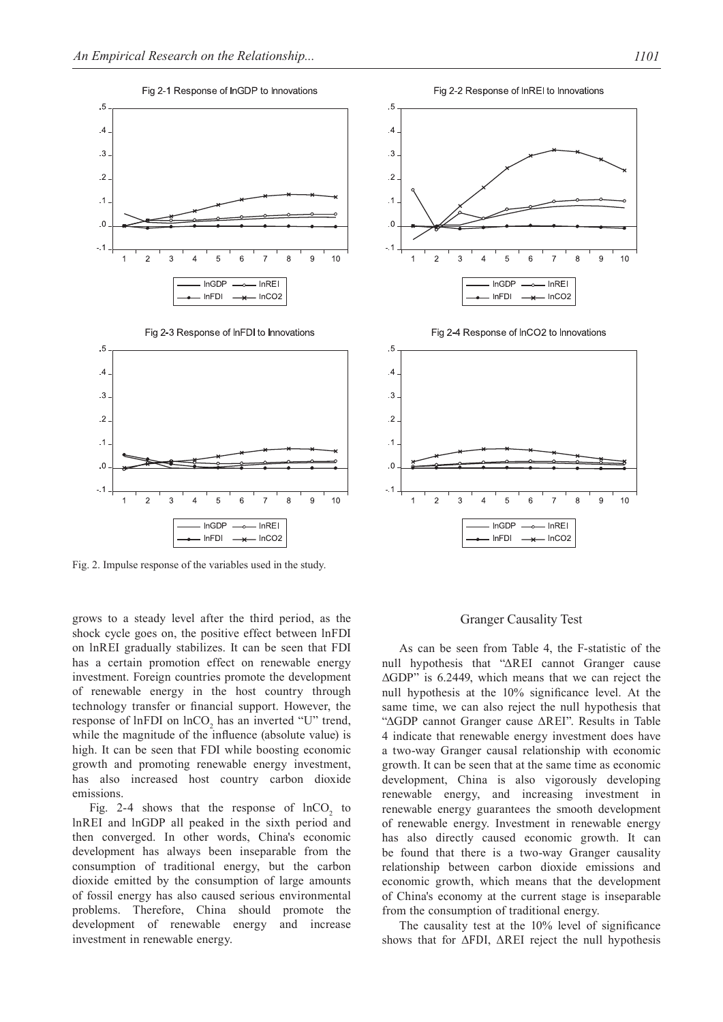

Fig. 2. Impulse response of the variables used in the study.

grows to a steady level after the third period, as the shock cycle goes on, the positive effect between lnFDI on lnREI gradually stabilizes. It can be seen that FDI has a certain promotion effect on renewable energy investment. Foreign countries promote the development of renewable energy in the host country through technology transfer or financial support. However, the response of  $lnFDI$  on  $lnCO<sub>2</sub>$  has an inverted "U" trend, while the magnitude of the influence (absolute value) is high. It can be seen that FDI while boosting economic growth and promoting renewable energy investment, has also increased host country carbon dioxide emissions.

Fig. 2-4 shows that the response of  $ln CO<sub>2</sub>$  to lnREI and lnGDP all peaked in the sixth period and then converged. In other words, China's economic development has always been inseparable from the consumption of traditional energy, but the carbon dioxide emitted by the consumption of large amounts of fossil energy has also caused serious environmental problems. Therefore, China should promote the development of renewable energy and increase investment in renewable energy.





#### Granger Causality Test

As can be seen from Table 4, the F-statistic of the null hypothesis that "ΔREI cannot Granger cause ΔGDP" is 6.2449, which means that we can reject the null hypothesis at the 10% significance level. At the same time, we can also reject the null hypothesis that "ΔGDP cannot Granger cause ΔREI". Results in Table 4 indicate that renewable energy investment does have a two-way Granger causal relationship with economic growth. It can be seen that at the same time as economic development, China is also vigorously developing renewable energy, and increasing investment in renewable energy guarantees the smooth development of renewable energy. Investment in renewable energy has also directly caused economic growth. It can be found that there is a two-way Granger causality relationship between carbon dioxide emissions and economic growth, which means that the development of China's economy at the current stage is inseparable from the consumption of traditional energy.

The causality test at the 10% level of significance shows that for ΔFDI, ΔREI reject the null hypothesis

Fig 2-2 Response of InREI to Innovations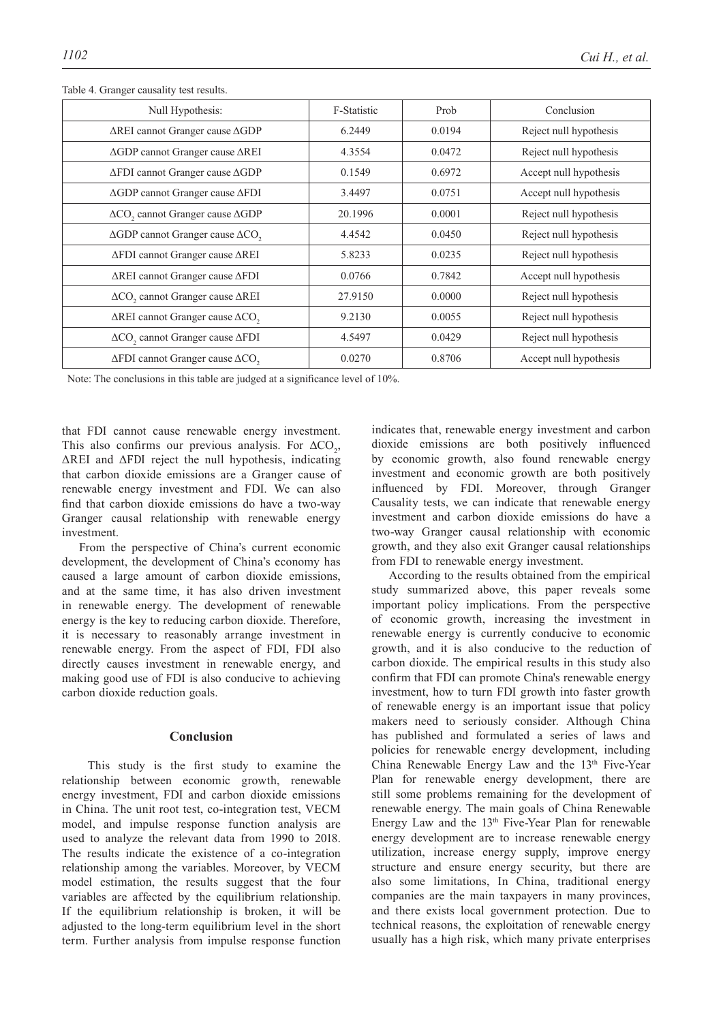| Null Hypothesis:                                           | F-Statistic | Prob   | Conclusion             |
|------------------------------------------------------------|-------------|--------|------------------------|
| $\Delta$ REI cannot Granger cause $\Delta$ GDP             | 6.2449      | 0.0194 | Reject null hypothesis |
| $\triangle$ GDP cannot Granger cause $\triangle$ REI       | 4.3554      | 0.0472 | Reject null hypothesis |
| ∆FDI cannot Granger cause ∆GDP                             | 0.1549      | 0.6972 | Accept null hypothesis |
| $\triangle$ GDP cannot Granger cause $\triangle$ FDI       | 3.4497      | 0.0751 | Accept null hypothesis |
| $\Delta CO$ , cannot Granger cause $\Delta GDP$            | 20.1996     | 0.0001 | Reject null hypothesis |
| $\Delta$ GDP cannot Granger cause $\Delta$ CO <sub>2</sub> | 4.4542      | 0.0450 | Reject null hypothesis |
| ∆FDI cannot Granger cause ∆REI                             | 5.8233      | 0.0235 | Reject null hypothesis |
| $\Delta$ REI cannot Granger cause $\Delta$ FDI             | 0.0766      | 0.7842 | Accept null hypothesis |
| ΔCO <sub>2</sub> cannot Granger cause ΔREI                 | 27.9150     | 0.0000 | Reject null hypothesis |
| $\Delta$ REI cannot Granger cause $\Delta$ CO <sub>2</sub> | 9.2130      | 0.0055 | Reject null hypothesis |
| ΔCO <sub>2</sub> cannot Granger cause ΔFDI                 | 4.5497      | 0.0429 | Reject null hypothesis |
| $\Delta$ FDI cannot Granger cause $\Delta$ CO <sub>2</sub> | 0.0270      | 0.8706 | Accept null hypothesis |

Table 4. Granger causality test results.

Note: The conclusions in this table are judged at a significance level of 10%.

that FDI cannot cause renewable energy investment. This also confirms our previous analysis. For  $\Delta CO_2$ , ΔREI and ΔFDI reject the null hypothesis, indicating that carbon dioxide emissions are a Granger cause of renewable energy investment and FDI. We can also find that carbon dioxide emissions do have a two-way Granger causal relationship with renewable energy investment.

From the perspective of China's current economic development, the development of China's economy has caused a large amount of carbon dioxide emissions, and at the same time, it has also driven investment in renewable energy. The development of renewable energy is the key to reducing carbon dioxide. Therefore, it is necessary to reasonably arrange investment in renewable energy. From the aspect of FDI, FDI also directly causes investment in renewable energy, and making good use of FDI is also conducive to achieving carbon dioxide reduction goals.

# **Conclusion**

 This study is the first study to examine the relationship between economic growth, renewable energy investment, FDI and carbon dioxide emissions in China. The unit root test, co-integration test, VECM model, and impulse response function analysis are used to analyze the relevant data from 1990 to 2018. The results indicate the existence of a co-integration relationship among the variables. Moreover, by VECM model estimation, the results suggest that the four variables are affected by the equilibrium relationship. If the equilibrium relationship is broken, it will be adjusted to the long-term equilibrium level in the short term. Further analysis from impulse response function indicates that, renewable energy investment and carbon dioxide emissions are both positively influenced by economic growth, also found renewable energy investment and economic growth are both positively influenced by FDI. Moreover, through Granger Causality tests, we can indicate that renewable energy investment and carbon dioxide emissions do have a two-way Granger causal relationship with economic growth, and they also exit Granger causal relationships from FDI to renewable energy investment.

According to the results obtained from the empirical study summarized above, this paper reveals some important policy implications. From the perspective of economic growth, increasing the investment in renewable energy is currently conducive to economic growth, and it is also conducive to the reduction of carbon dioxide. The empirical results in this study also confirm that FDI can promote China's renewable energy investment, how to turn FDI growth into faster growth of renewable energy is an important issue that policy makers need to seriously consider. Although China has published and formulated a series of laws and policies for renewable energy development, including China Renewable Energy Law and the 13th Five-Year Plan for renewable energy development, there are still some problems remaining for the development of renewable energy. The main goals of China Renewable Energy Law and the 13<sup>th</sup> Five-Year Plan for renewable energy development are to increase renewable energy utilization, increase energy supply, improve energy structure and ensure energy security, but there are also some limitations, In China, traditional energy companies are the main taxpayers in many provinces, and there exists local government protection. Due to technical reasons, the exploitation of renewable energy usually has a high risk, which many private enterprises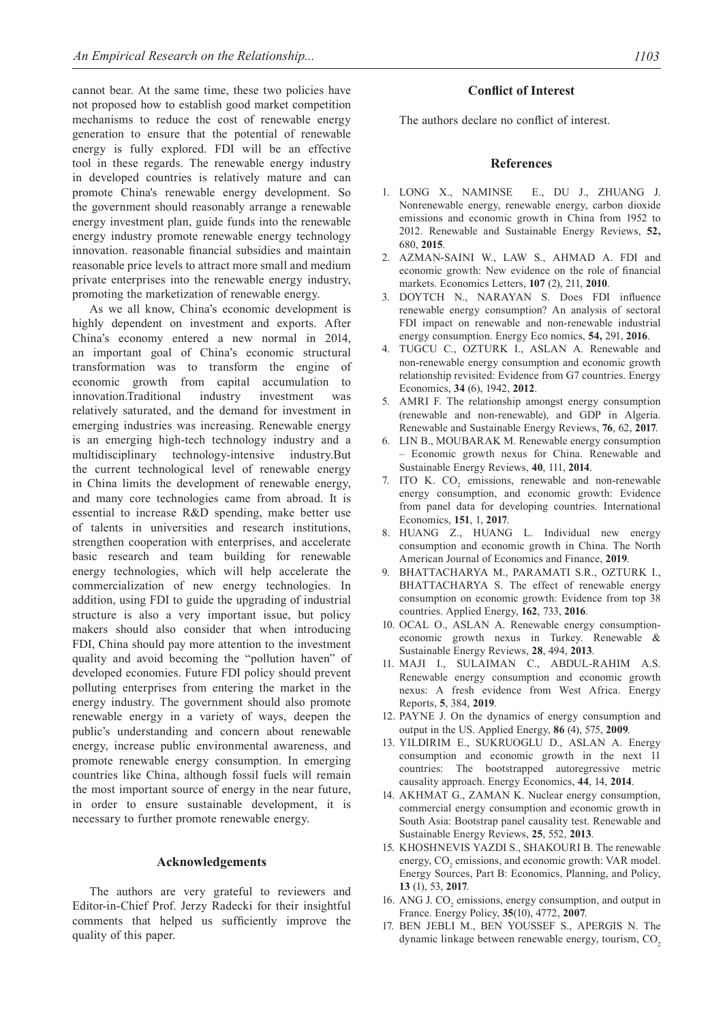cannot bear. At the same time, these two policies have not proposed how to establish good market competition mechanisms to reduce the cost of renewable energy generation to ensure that the potential of renewable energy is fully explored. FDI will be an effective tool in these regards. The renewable energy industry in developed countries is relatively mature and can promote China's renewable energy development. So the government should reasonably arrange a renewable energy investment plan, guide funds into the renewable energy industry promote renewable energy technology innovation. reasonable financial subsidies and maintain reasonable price levels to attract more small and medium private enterprises into the renewable energy industry, promoting the marketization of renewable energy.

As we all know, China's economic development is highly dependent on investment and exports. After China's economy entered a new normal in 2014, an important goal of China's economic structural transformation was to transform the engine of economic growth from capital accumulation to innovation.Traditional industry investment was relatively saturated, and the demand for investment in emerging industries was increasing. Renewable energy is an emerging high-tech technology industry and a multidisciplinary technology-intensive industry.But the current technological level of renewable energy in China limits the development of renewable energy, and many core technologies came from abroad. It is essential to increase R&D spending, make better use of talents in universities and research institutions, strengthen cooperation with enterprises, and accelerate basic research and team building for renewable energy technologies, which will help accelerate the commercialization of new energy technologies. In addition, using FDI to guide the upgrading of industrial structure is also a very important issue, but policy makers should also consider that when introducing FDI, China should pay more attention to the investment quality and avoid becoming the "pollution haven" of developed economies. Future FDI policy should prevent polluting enterprises from entering the market in the energy industry. The government should also promote renewable energy in a variety of ways, deepen the public's understanding and concern about renewable energy, increase public environmental awareness, and promote renewable energy consumption. In emerging countries like China, although fossil fuels will remain the most important source of energy in the near future, in order to ensure sustainable development, it is necessary to further promote renewable energy.

### **Acknowledgements**

The authors are very grateful to reviewers and Editor-in-Chief Prof. Jerzy Radecki for their insightful comments that helped us sufficiently improve the quality of this paper.

# **Conflict of Interest**

The authors declare no conflict of interest.

#### **References**

- 1. LONG X., NAMINSE E., DU J., ZHUANG J. Nonrenewable energy, renewable energy, carbon dioxide emissions and economic growth in China from 1952 to 2012. Renewable and Sustainable Energy Reviews, **52,**  680, **2015**.
- 2. AZMAN-SAINI W., LAW S., AHMAD A. FDI and economic growth: New evidence on the role of financial markets. Economics Letters, **107** (2), 211, **2010**.
- 3. DOYTCH N., NARAYAN S. Does FDI influence renewable energy consumption? An analysis of sectoral FDI impact on renewable and non-renewable industrial energy consumption. Energy Eco nomics, **54,** 291, **2016**.
- 4. TUGCU C., OZTURK I., ASLAN A. Renewable and non-renewable energy consumption and economic growth relationship revisited: Evidence from G7 countries. Energy Economics, **34** (6), 1942, **2012**.
- 5. AMRI F. The relationship amongst energy consumption (renewable and non-renewable), and GDP in Algeria. Renewable and Sustainable Energy Reviews, **76**, 62, **2017**.
- 6. LIN B., MOUBARAK M. Renewable energy consumption – Economic growth nexus for China. Renewable and Sustainable Energy Reviews, **40**, 111, **2014**.
- 7. ITO K.  $CO<sub>2</sub>$  emissions, renewable and non-renewable energy consumption, and economic growth: Evidence from panel data for developing countries. International Economics, **151**, 1, **2017**.
- 8. HUANG Z., HUANG L. Individual new energy consumption and economic growth in China. The North American Journal of Economics and Finance, **2019**.
- 9. BHATTACHARYA M., PARAMATI S.R., OZTURK I., BHATTACHARYA S. The effect of renewable energy consumption on economic growth: Evidence from top 38 countries. Applied Energy, **162**, 733, **2016**.
- 10. OCAL O., ASLAN A. Renewable energy consumptioneconomic growth nexus in Turkey. Renewable & Sustainable Energy Reviews, **28**, 494, **2013**.
- 11. MAJI I., SULAIMAN C., ABDUL-RAHIM A.S. Renewable energy consumption and economic growth nexus: A fresh evidence from West Africa. Energy Reports, **5**, 384, **2019**.
- 12. PAYNE J. On the dynamics of energy consumption and output in the US. Applied Energy, **86** (4), 575, **2009**.
- 13. YILDIRIM E., SUKRUOGLU D., ASLAN A. Energy consumption and economic growth in the next 11 countries: The bootstrapped autoregressive metric causality approach. Energy Economics, **44**, 14, **2014**.
- 14. AKHMAT G., ZAMAN K. Nuclear energy consumption, commercial energy consumption and economic growth in South Asia: Bootstrap panel causality test. Renewable and Sustainable Energy Reviews, **25**, 552, **2013**.
- 15. KHOSHNEVIS YAZDI S., SHAKOURI B. The renewable energy, CO<sub>2</sub> emissions, and economic growth: VAR model. Energy Sources, Part B: Economics, Planning, and Policy, **13** (1), 53, **2017**.
- 16. ANG J.  $CO<sub>2</sub>$  emissions, energy consumption, and output in France. Energy Policy, **35**(10), 4772, **2007**.
- 17. BEN JEBLI M., BEN YOUSSEF S., APERGIS N. The dynamic linkage between renewable energy, tourism, CO<sub>2</sub>